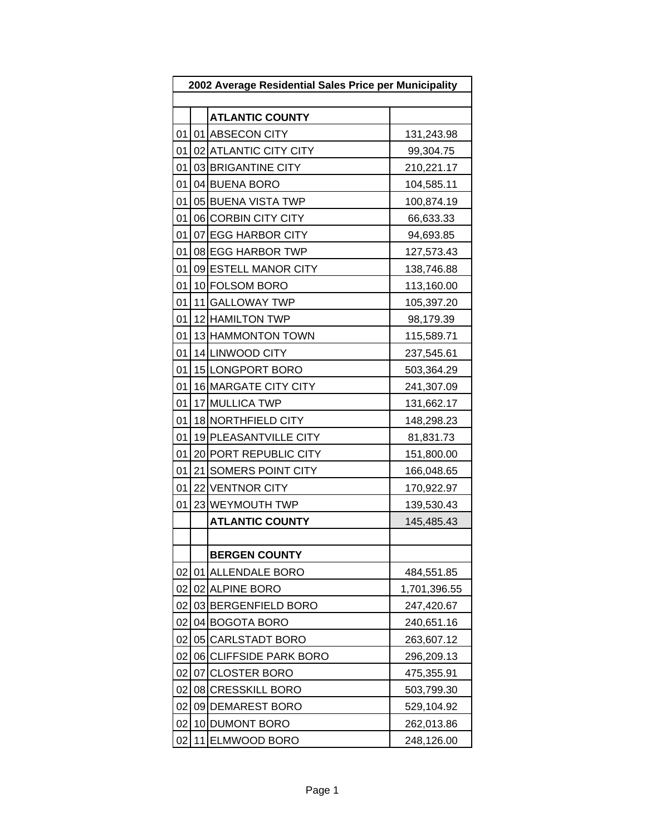| 2002 Average Residential Sales Price per Municipality |      |                        |              |
|-------------------------------------------------------|------|------------------------|--------------|
|                                                       |      |                        |              |
|                                                       |      | <b>ATLANTIC COUNTY</b> |              |
| 01                                                    |      | 01 ABSECON CITY        | 131,243.98   |
| 01                                                    |      | 02 ATLANTIC CITY CITY  | 99,304.75    |
| 01                                                    |      | 03 BRIGANTINE CITY     | 210,221.17   |
| 01                                                    |      | 04 BUENA BORO          | 104,585.11   |
| 01                                                    |      | 05 BUENA VISTA TWP     | 100,874.19   |
| 01                                                    |      | 06 CORBIN CITY CITY    | 66,633.33    |
| 01                                                    |      | 07 EGG HARBOR CITY     | 94,693.85    |
| 01                                                    |      | 08 EGG HARBOR TWP      | 127,573.43   |
| 01                                                    |      | 09 ESTELL MANOR CITY   | 138,746.88   |
| 01                                                    |      | 10 FOLSOM BORO         | 113,160.00   |
| 01                                                    |      | 11 GALLOWAY TWP        | 105,397.20   |
| 01                                                    |      | 12 HAMILTON TWP        | 98,179.39    |
| 01                                                    |      | 13 HAMMONTON TOWN      | 115,589.71   |
| 01                                                    |      | 14 LINWOOD CITY        | 237,545.61   |
| 01                                                    |      | 15 LONGPORT BORO       | 503,364.29   |
| 01                                                    |      | 16 MARGATE CITY CITY   | 241,307.09   |
| 01                                                    |      | 17 MULLICA TWP         | 131,662.17   |
| 01                                                    |      | 18 NORTHFIELD CITY     | 148,298.23   |
| 01                                                    |      | 19 PLEASANTVILLE CITY  | 81,831.73    |
| 01                                                    |      | 20 PORT REPUBLIC CITY  | 151,800.00   |
| 01                                                    |      | 21 SOMERS POINT CITY   | 166,048.65   |
| 01                                                    |      | 22 VENTNOR CITY        | 170,922.97   |
| 01                                                    |      | 23 WEYMOUTH TWP        | 139,530.43   |
|                                                       |      | <b>ATLANTIC COUNTY</b> | 145,485.43   |
|                                                       |      |                        |              |
|                                                       |      | <b>BERGEN COUNTY</b>   |              |
| 02                                                    |      | 01 ALLENDALE BORO      | 484,551.85   |
| 02                                                    |      | 02 ALPINE BORO         | 1,701,396.55 |
| 02                                                    |      | 03 BERGENFIELD BORO    | 247,420.67   |
| 02                                                    |      | 04 BOGOTA BORO         | 240,651.16   |
| 02                                                    |      | 05 CARLSTADT BORO      | 263,607.12   |
| 02                                                    |      | 06 CLIFFSIDE PARK BORO | 296,209.13   |
| 02                                                    | 07 I | <b>CLOSTER BORO</b>    | 475,355.91   |
| 02                                                    |      | 08 CRESSKILL BORO      | 503,799.30   |
| 02                                                    |      | 09 DEMAREST BORO       | 529,104.92   |
| 02                                                    |      | 10 DUMONT BORO         | 262,013.86   |
| 02                                                    |      | 11 ELMWOOD BORO        | 248,126.00   |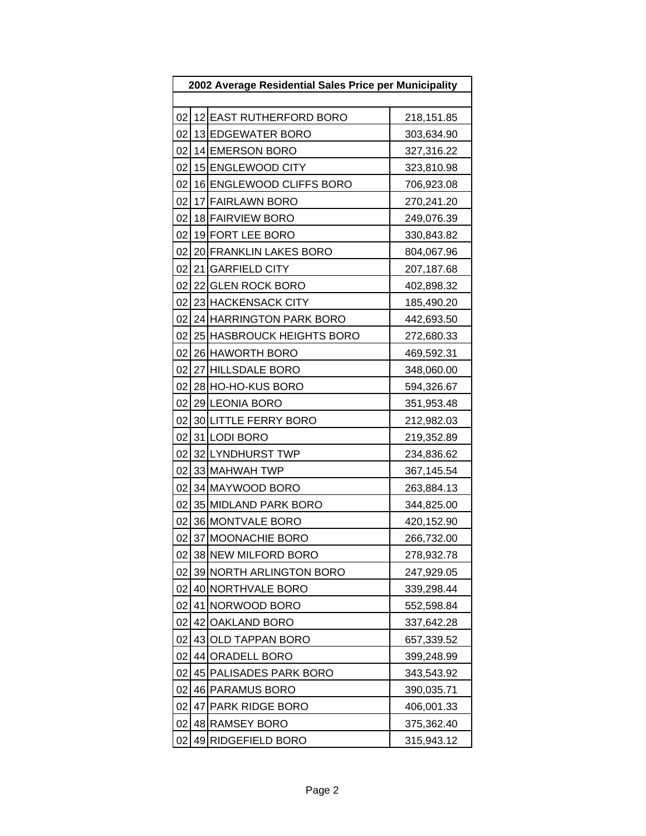| 2002 Average Residential Sales Price per Municipality |                 |                           |            |  |  |
|-------------------------------------------------------|-----------------|---------------------------|------------|--|--|
|                                                       |                 |                           |            |  |  |
| 02                                                    |                 | 12 EAST RUTHERFORD BORO   | 218,151.85 |  |  |
| 02                                                    |                 | 13 EDGEWATER BORO         | 303,634.90 |  |  |
| 02                                                    |                 | 14 EMERSON BORO           | 327,316.22 |  |  |
| 02                                                    |                 | 15 ENGLEWOOD CITY         | 323,810.98 |  |  |
| 02                                                    |                 | 16 ENGLEWOOD CLIFFS BORO  | 706,923.08 |  |  |
| 02                                                    |                 | 17 FAIRLAWN BORO          | 270,241.20 |  |  |
| 02                                                    |                 | 18 FAIRVIEW BORO          | 249,076.39 |  |  |
| 02                                                    |                 | 19 FORT LEE BORO          | 330,843.82 |  |  |
| 02                                                    |                 | 20 FRANKLIN LAKES BORO    | 804,067.96 |  |  |
| 02                                                    |                 | 21 GARFIELD CITY          | 207,187.68 |  |  |
| 02                                                    |                 | 22 GLEN ROCK BORO         | 402,898.32 |  |  |
| 02                                                    |                 | 23 HACKENSACK CITY        | 185,490.20 |  |  |
| 02                                                    |                 | 24 HARRINGTON PARK BORO   | 442,693.50 |  |  |
| 02                                                    |                 | 25 HASBROUCK HEIGHTS BORO | 272,680.33 |  |  |
| 02                                                    |                 | 26 HAWORTH BORO           | 469,592.31 |  |  |
| 02                                                    |                 | 27 HILLSDALE BORO         | 348,060.00 |  |  |
| 02                                                    |                 | 28 HO-HO-KUS BORO         | 594,326.67 |  |  |
| 02                                                    |                 | 29 LEONIA BORO            | 351,953.48 |  |  |
| 02                                                    |                 | 30 LITTLE FERRY BORO      | 212,982.03 |  |  |
| 02                                                    |                 | 31 LODI BORO              | 219,352.89 |  |  |
| 02                                                    |                 | 32 LYNDHURST TWP          | 234,836.62 |  |  |
| 02                                                    |                 | 33 MAHWAH TWP             | 367,145.54 |  |  |
| 02                                                    |                 | 34 MAYWOOD BORO           | 263,884.13 |  |  |
| 02                                                    |                 | 35 MIDLAND PARK BORO      | 344,825.00 |  |  |
| 02                                                    |                 | 36 MONTVALE BORO          | 420,152.90 |  |  |
| 02                                                    | 37 <sup>1</sup> | <b>MOONACHIE BORO</b>     | 266,732.00 |  |  |
| 02                                                    |                 | 38 NEW MILFORD BORO       | 278,932.78 |  |  |
| 02                                                    |                 | 39 NORTH ARLINGTON BORO   | 247,929.05 |  |  |
| 02                                                    |                 | 40 NORTHVALE BORO         | 339,298.44 |  |  |
| 02                                                    | 41              | NORWOOD BORO              | 552,598.84 |  |  |
| 02                                                    | 42              | <b>OAKLAND BORO</b>       | 337,642.28 |  |  |
| 02                                                    |                 | 43 OLD TAPPAN BORO        | 657,339.52 |  |  |
| 02                                                    | 44              | <b>ORADELL BORO</b>       | 399,248.99 |  |  |
| 02                                                    |                 | 45 PALISADES PARK BORO    | 343,543.92 |  |  |
| 02                                                    |                 | 46 PARAMUS BORO           | 390,035.71 |  |  |
| 02                                                    | 47              | <b>PARK RIDGE BORO</b>    | 406,001.33 |  |  |
| 02                                                    |                 | 48 RAMSEY BORO            | 375,362.40 |  |  |
| 02                                                    |                 | 49 RIDGEFIELD BORO        | 315,943.12 |  |  |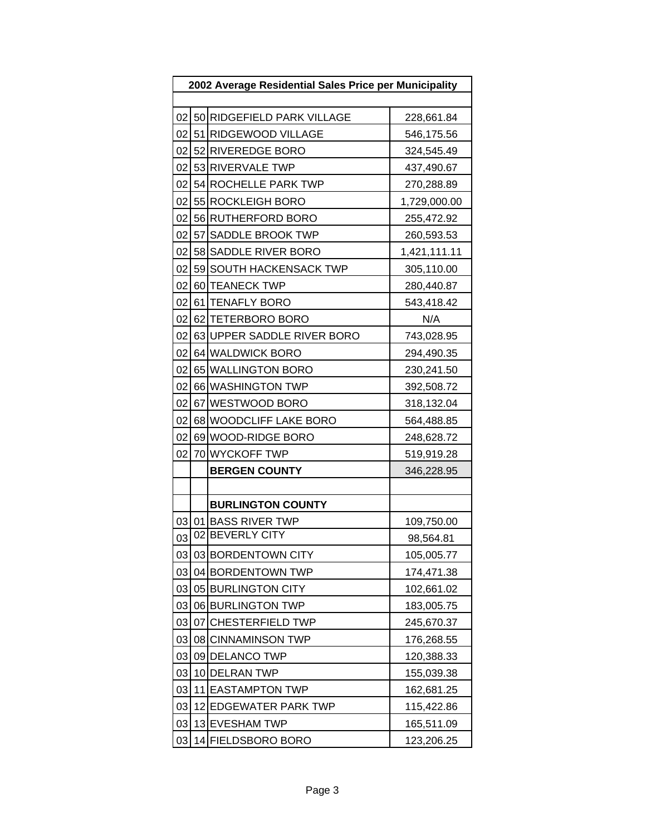| 2002 Average Residential Sales Price per Municipality |    |                               |              |  |  |
|-------------------------------------------------------|----|-------------------------------|--------------|--|--|
|                                                       |    |                               |              |  |  |
|                                                       |    | 02 50 RIDGEFIELD PARK VILLAGE | 228,661.84   |  |  |
| 02                                                    |    | 51 RIDGEWOOD VILLAGE          | 546,175.56   |  |  |
| 02 <sub>l</sub>                                       |    | 52 RIVEREDGE BORO             | 324,545.49   |  |  |
|                                                       |    | 02 53 RIVERVALE TWP           | 437,490.67   |  |  |
| 02                                                    |    | 54 ROCHELLE PARK TWP          | 270,288.89   |  |  |
| 02 <sub>2</sub>                                       |    | 55 ROCKLEIGH BORO             | 1,729,000.00 |  |  |
| 02                                                    |    | 56 RUTHERFORD BORO            | 255,472.92   |  |  |
| 02                                                    |    | 57 SADDLE BROOK TWP           | 260,593.53   |  |  |
| 02 <sub>1</sub>                                       |    | 58 SADDLE RIVER BORO          | 1,421,111.11 |  |  |
| 02                                                    |    | 59 SOUTH HACKENSACK TWP       | 305,110.00   |  |  |
| 02                                                    |    | 60 TEANECK TWP                | 280,440.87   |  |  |
| 02 <sub>l</sub>                                       |    | 61 TENAFLY BORO               | 543,418.42   |  |  |
| 02 <sub>l</sub>                                       |    | 62 TETERBORO BORO             | N/A          |  |  |
| 02                                                    |    | 63 UPPER SADDLE RIVER BORO    | 743,028.95   |  |  |
| 02                                                    |    | 64 WALDWICK BORO              | 294,490.35   |  |  |
| 02                                                    |    | 65 WALLINGTON BORO            | 230,241.50   |  |  |
| 02                                                    |    | 66 WASHINGTON TWP             | 392,508.72   |  |  |
| 02 <sub>l</sub>                                       |    | 67 WESTWOOD BORO              | 318,132.04   |  |  |
| 02                                                    |    | 68 WOODCLIFF LAKE BORO        | 564,488.85   |  |  |
| 02                                                    |    | 69 WOOD-RIDGE BORO            | 248,628.72   |  |  |
| 02                                                    |    | 70 WYCKOFF TWP                | 519,919.28   |  |  |
|                                                       |    | <b>BERGEN COUNTY</b>          | 346,228.95   |  |  |
|                                                       |    |                               |              |  |  |
|                                                       |    | <b>BURLINGTON COUNTY</b>      |              |  |  |
| 03                                                    |    | 01 BASS RIVER TWP             | 109,750.00   |  |  |
| 03                                                    |    | 02 BEVERLY CITY               | 98,564.81    |  |  |
| 03                                                    |    | 03 BORDENTOWN CITY            | 105,005.77   |  |  |
| 03                                                    |    | 04 BORDENTOWN TWP             | 174,471.38   |  |  |
| 03                                                    |    | 05 BURLINGTON CITY            | 102,661.02   |  |  |
| 03                                                    |    | 06 BURLINGTON TWP             | 183,005.75   |  |  |
| 03                                                    | 07 | <b>CHESTERFIELD TWP</b>       | 245,670.37   |  |  |
| 03                                                    |    | 08 CINNAMINSON TWP            | 176,268.55   |  |  |
| 03                                                    |    | 09 DELANCO TWP                | 120,388.33   |  |  |
| 03                                                    |    | 10 DELRAN TWP                 | 155,039.38   |  |  |
| 03                                                    |    | 11 EASTAMPTON TWP             | 162,681.25   |  |  |
| 03                                                    |    | 12 EDGEWATER PARK TWP         | 115,422.86   |  |  |
| 03                                                    |    | 13 EVESHAM TWP                | 165,511.09   |  |  |
| 03                                                    |    | 14 FIELDSBORO BORO            | 123,206.25   |  |  |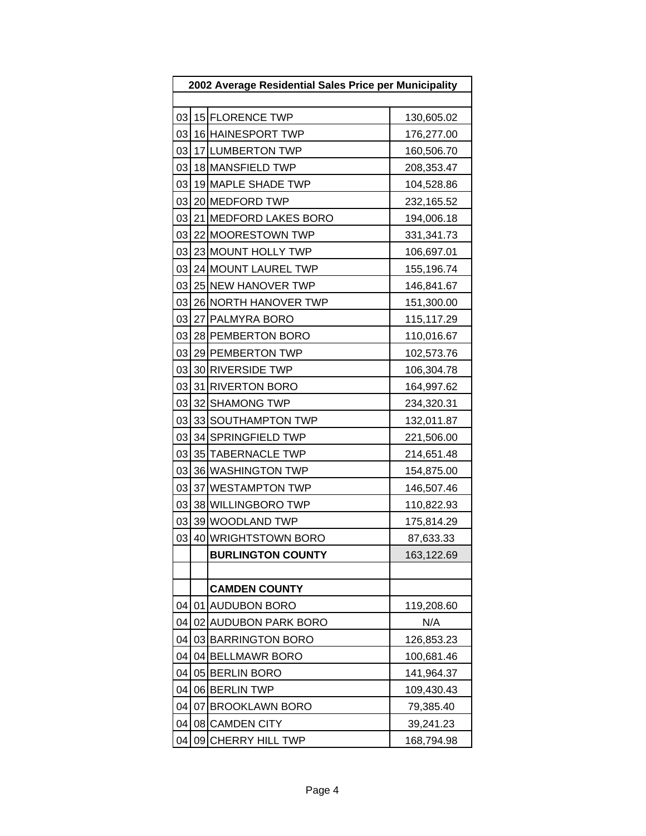| 2002 Average Residential Sales Price per Municipality |    |                          |            |  |  |
|-------------------------------------------------------|----|--------------------------|------------|--|--|
|                                                       |    |                          |            |  |  |
| 03                                                    |    | 15 FLORENCE TWP          | 130,605.02 |  |  |
| 03                                                    |    | 16 HAINESPORT TWP        | 176,277.00 |  |  |
| 03                                                    |    | 17 LUMBERTON TWP         | 160,506.70 |  |  |
| 03                                                    |    | 18 MANSFIELD TWP         | 208,353.47 |  |  |
| 03                                                    |    | 19 MAPLE SHADE TWP       | 104,528.86 |  |  |
| 03                                                    |    | 20 MEDFORD TWP           | 232,165.52 |  |  |
| 03                                                    |    | 21 MEDFORD LAKES BORO    | 194,006.18 |  |  |
| 03                                                    |    | 22 MOORESTOWN TWP        | 331,341.73 |  |  |
| 03                                                    |    | 23 MOUNT HOLLY TWP       | 106,697.01 |  |  |
| 03                                                    |    | 24 MOUNT LAUREL TWP      | 155,196.74 |  |  |
| 03                                                    |    | 25 NEW HANOVER TWP       | 146,841.67 |  |  |
| 03                                                    |    | 26 NORTH HANOVER TWP     | 151,300.00 |  |  |
| 03                                                    |    | 27 PALMYRA BORO          | 115,117.29 |  |  |
| 03                                                    |    | 28 PEMBERTON BORO        | 110,016.67 |  |  |
| 03                                                    |    | 29 PEMBERTON TWP         | 102,573.76 |  |  |
| 03                                                    |    | 30 RIVERSIDE TWP         | 106,304.78 |  |  |
| 03                                                    |    | 31 RIVERTON BORO         | 164,997.62 |  |  |
| 03                                                    |    | 32 SHAMONG TWP           | 234,320.31 |  |  |
| 03                                                    |    | 33 SOUTHAMPTON TWP       | 132,011.87 |  |  |
| 03                                                    |    | 34 SPRINGFIELD TWP       | 221,506.00 |  |  |
| 03                                                    |    | 35 TABERNACLE TWP        | 214,651.48 |  |  |
| 03                                                    |    | 36 WASHINGTON TWP        | 154,875.00 |  |  |
| 03                                                    |    | 37 WESTAMPTON TWP        | 146,507.46 |  |  |
| 03                                                    |    | 38 WILLINGBORO TWP       | 110,822.93 |  |  |
| 03                                                    |    | 39 WOODLAND TWP          | 175,814.29 |  |  |
| 03                                                    |    | 40 WRIGHTSTOWN BORO      | 87,633.33  |  |  |
|                                                       |    | <b>BURLINGTON COUNTY</b> | 163,122.69 |  |  |
|                                                       |    |                          |            |  |  |
|                                                       |    | <b>CAMDEN COUNTY</b>     |            |  |  |
| 04                                                    |    | 01 AUDUBON BORO          | 119,208.60 |  |  |
| 04                                                    |    | 02 AUDUBON PARK BORO     | N/A        |  |  |
| 04                                                    |    | 03 BARRINGTON BORO       | 126,853.23 |  |  |
| 04                                                    |    | 04 BELLMAWR BORO         | 100,681.46 |  |  |
| 04                                                    |    | 05 BERLIN BORO           | 141,964.37 |  |  |
| 04                                                    |    | 06 BERLIN TWP            | 109,430.43 |  |  |
| 04                                                    | 07 | <b>BROOKLAWN BORO</b>    | 79,385.40  |  |  |
| 04                                                    | 08 | <b>CAMDEN CITY</b>       | 39,241.23  |  |  |
| 04                                                    | 09 | <b>CHERRY HILL TWP</b>   | 168,794.98 |  |  |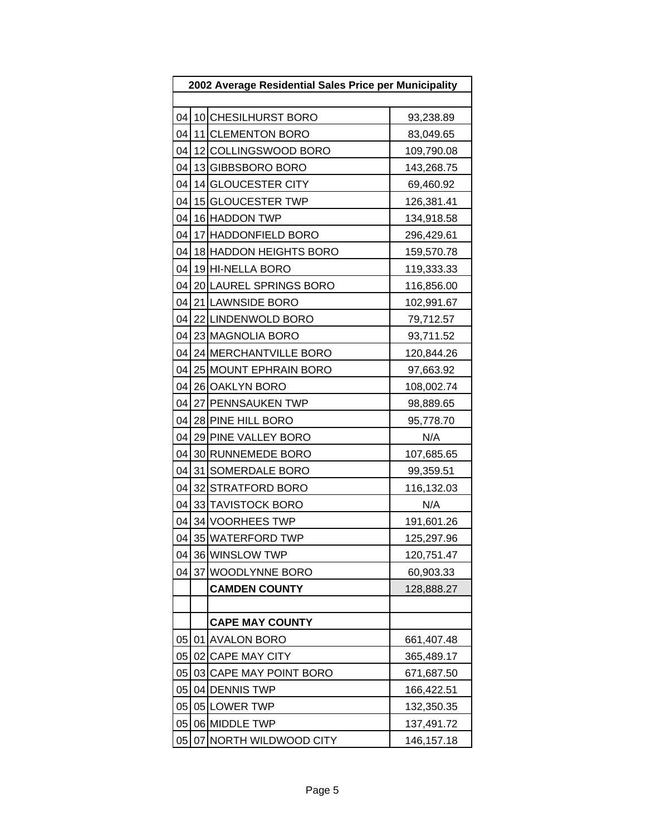| 2002 Average Residential Sales Price per Municipality |  |                        |            |
|-------------------------------------------------------|--|------------------------|------------|
|                                                       |  |                        |            |
| 04                                                    |  | 10 CHESILHURST BORO    | 93,238.89  |
| 04                                                    |  | 11 CLEMENTON BORO      | 83,049.65  |
| 04                                                    |  | 12 COLLINGSWOOD BORO   | 109,790.08 |
| 04                                                    |  | 13 GIBBSBORO BORO      | 143,268.75 |
| 04                                                    |  | 14 GLOUCESTER CITY     | 69,460.92  |
| 04                                                    |  | 15 GLOUCESTER TWP      | 126,381.41 |
| 04                                                    |  | 16 HADDON TWP          | 134,918.58 |
| 04                                                    |  | 17 HADDONFIELD BORO    | 296,429.61 |
| 04                                                    |  | 18 HADDON HEIGHTS BORO | 159,570.78 |
| 04                                                    |  | 19 HI-NELLA BORO       | 119,333.33 |
| 04                                                    |  | 20 LAUREL SPRINGS BORO | 116,856.00 |
| 04                                                    |  | 21 LAWNSIDE BORO       | 102,991.67 |
| 04                                                    |  | 22 LINDENWOLD BORO     | 79,712.57  |
| 04                                                    |  | 23 MAGNOLIA BORO       | 93,711.52  |
| 04                                                    |  | 24 MERCHANTVILLE BORO  | 120,844.26 |
| 04                                                    |  | 25 MOUNT EPHRAIN BORO  | 97,663.92  |
| 04                                                    |  | 26 OAKLYN BORO         | 108,002.74 |
|                                                       |  | 04 27 PENNSAUKEN TWP   | 98,889.65  |
| 04                                                    |  | 28 PINE HILL BORO      | 95,778.70  |
| 04                                                    |  | 29 PINE VALLEY BORO    | N/A        |
| 04                                                    |  | 30 RUNNEMEDE BORO      | 107,685.65 |
| 04                                                    |  | 31 SOMERDALE BORO      | 99,359.51  |
| 04                                                    |  | 32 STRATFORD BORO      | 116,132.03 |
| 04                                                    |  | 33 TAVISTOCK BORO      | N/A        |
| 04                                                    |  | 34 VOORHEES TWP        | 191,601.26 |
| 04                                                    |  | 35 WATERFORD TWP       | 125,297.96 |
| 04                                                    |  | 36 WINSLOW TWP         | 120,751.47 |
| 04                                                    |  | 37 WOODLYNNE BORO      | 60,903.33  |
|                                                       |  | <b>CAMDEN COUNTY</b>   | 128,888.27 |
|                                                       |  |                        |            |
|                                                       |  | <b>CAPE MAY COUNTY</b> |            |
| 05                                                    |  | 01 AVALON BORO         | 661,407.48 |
| 05                                                    |  | 02 CAPE MAY CITY       | 365,489.17 |
| 05                                                    |  | 03 CAPE MAY POINT BORO | 671,687.50 |
| 05                                                    |  | 04 DENNIS TWP          | 166,422.51 |
| 05                                                    |  | 05 LOWER TWP           | 132,350.35 |
| 05                                                    |  | 06 MIDDLE TWP          | 137,491.72 |
| 05                                                    |  | 07 NORTH WILDWOOD CITY | 146,157.18 |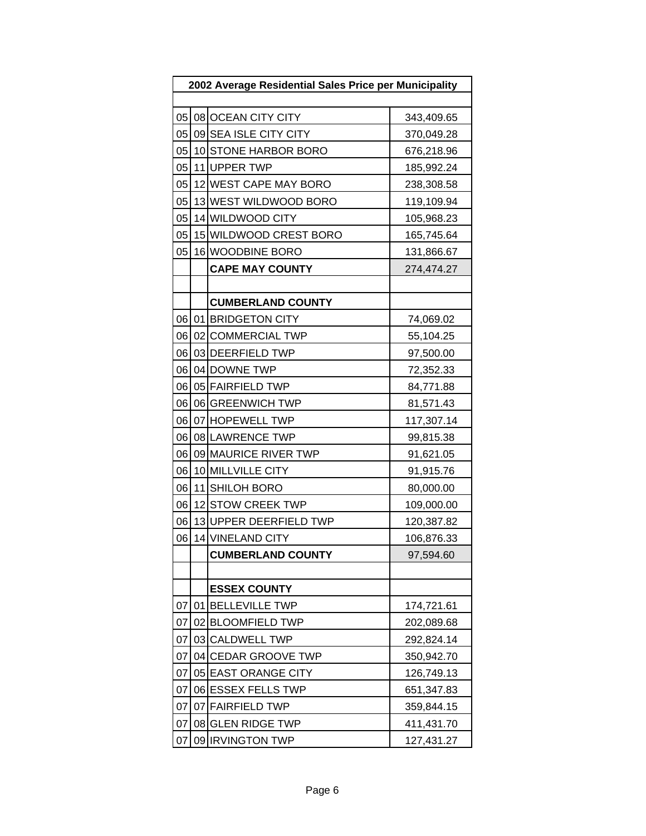| 2002 Average Residential Sales Price per Municipality |  |                          |            |
|-------------------------------------------------------|--|--------------------------|------------|
|                                                       |  |                          |            |
|                                                       |  | 05 08 OCEAN CITY CITY    | 343,409.65 |
| 05                                                    |  | 09 SEA ISLE CITY CITY    | 370,049.28 |
| 05                                                    |  | 10 STONE HARBOR BORO     | 676,218.96 |
| 05                                                    |  | 11 UPPER TWP             | 185,992.24 |
| 05                                                    |  | 12 WEST CAPE MAY BORO    | 238,308.58 |
| 05                                                    |  | 13 WEST WILDWOOD BORO    | 119,109.94 |
| 05                                                    |  | 14 WILDWOOD CITY         | 105,968.23 |
| 05                                                    |  | 15 WILDWOOD CREST BORO   | 165,745.64 |
| 05                                                    |  | 16 WOODBINE BORO         | 131,866.67 |
|                                                       |  | <b>CAPE MAY COUNTY</b>   | 274,474.27 |
|                                                       |  |                          |            |
|                                                       |  | <b>CUMBERLAND COUNTY</b> |            |
|                                                       |  | 06 01 BRIDGETON CITY     | 74,069.02  |
| 06                                                    |  | 02 COMMERCIAL TWP        | 55,104.25  |
| 06                                                    |  | 03 DEERFIELD TWP         | 97,500.00  |
| 06                                                    |  | 04 DOWNE TWP             | 72,352.33  |
| 06                                                    |  | 05 FAIRFIELD TWP         | 84,771.88  |
| 06                                                    |  | 06 GREENWICH TWP         | 81,571.43  |
| 06                                                    |  | 07 HOPEWELL TWP          | 117,307.14 |
| 06                                                    |  | 08 LAWRENCE TWP          | 99,815.38  |
| 06                                                    |  | 09 MAURICE RIVER TWP     | 91,621.05  |
| 06                                                    |  | 10 MILLVILLE CITY        | 91,915.76  |
| 06                                                    |  | 11 SHILOH BORO           | 80,000.00  |
| 06                                                    |  | 12 STOW CREEK TWP        | 109,000.00 |
| 06                                                    |  | 13 UPPER DEERFIELD TWP   | 120,387.82 |
| 06                                                    |  | 14 VINELAND CITY         | 106,876.33 |
|                                                       |  | <b>CUMBERLAND COUNTY</b> | 97,594.60  |
|                                                       |  |                          |            |
|                                                       |  | <b>ESSEX COUNTY</b>      |            |
| 07                                                    |  | 01   BELLEVILLE TWP      | 174,721.61 |
| 07                                                    |  | 02 BLOOMFIELD TWP        | 202,089.68 |
| 07                                                    |  | 03 CALDWELL TWP          | 292,824.14 |
| 07                                                    |  | 04 CEDAR GROOVE TWP      | 350,942.70 |
| 07                                                    |  | 05 EAST ORANGE CITY      | 126,749.13 |
| 07                                                    |  | 06 ESSEX FELLS TWP       | 651,347.83 |
| 07                                                    |  | 07 FAIRFIELD TWP         | 359,844.15 |
| 07                                                    |  | 08 GLEN RIDGE TWP        | 411,431.70 |
| 07                                                    |  | 09 IRVINGTON TWP         | 127,431.27 |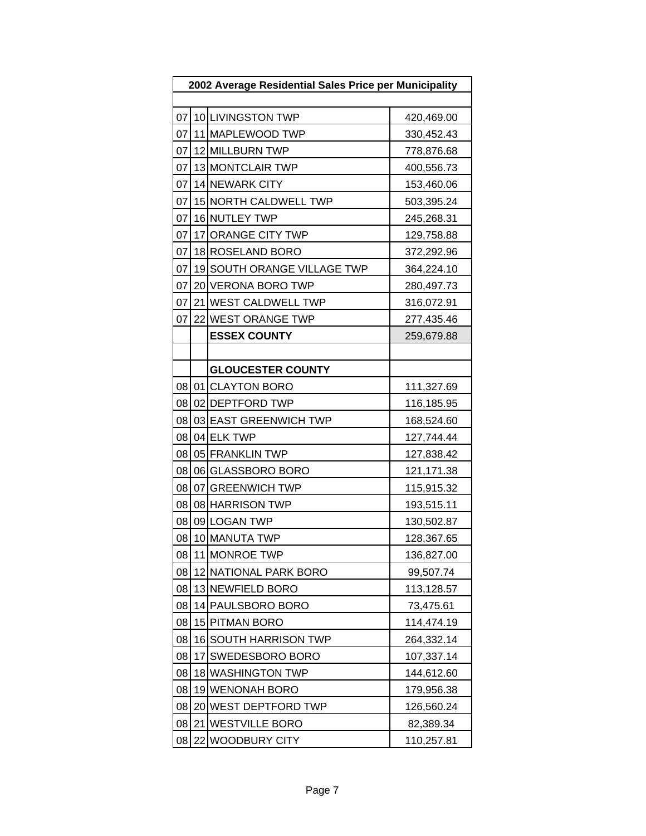| 2002 Average Residential Sales Price per Municipality |    |                             |            |  |  |
|-------------------------------------------------------|----|-----------------------------|------------|--|--|
|                                                       |    |                             |            |  |  |
|                                                       |    | 07 10 LIVINGSTON TWP        | 420,469.00 |  |  |
| 07                                                    |    | 11 MAPLEWOOD TWP            | 330,452.43 |  |  |
| 07                                                    |    | 12 MILLBURN TWP             | 778,876.68 |  |  |
| 07                                                    |    | 13 MONTCLAIR TWP            | 400,556.73 |  |  |
| 07                                                    |    | 14 NEWARK CITY              | 153,460.06 |  |  |
| 07                                                    |    | 15 NORTH CALDWELL TWP       | 503,395.24 |  |  |
| 07                                                    |    | 16 NUTLEY TWP               | 245,268.31 |  |  |
| 07                                                    |    | 17 ORANGE CITY TWP          | 129,758.88 |  |  |
| 07                                                    |    | 18 ROSELAND BORO            | 372,292.96 |  |  |
| 07                                                    |    | 19 SOUTH ORANGE VILLAGE TWP | 364,224.10 |  |  |
| 07                                                    |    | 20 VERONA BORO TWP          | 280,497.73 |  |  |
| 07                                                    |    | 21 WEST CALDWELL TWP        | 316,072.91 |  |  |
| 07                                                    |    | 22 WEST ORANGE TWP          | 277,435.46 |  |  |
|                                                       |    | <b>ESSEX COUNTY</b>         | 259,679.88 |  |  |
|                                                       |    |                             |            |  |  |
|                                                       |    | <b>GLOUCESTER COUNTY</b>    |            |  |  |
|                                                       |    | 08 01 CLAYTON BORO          | 111,327.69 |  |  |
|                                                       |    | 08 02 DEPTFORD TWP          | 116,185.95 |  |  |
| 08                                                    |    | 03 EAST GREENWICH TWP       | 168,524.60 |  |  |
| 08                                                    |    | 04 ELK TWP                  | 127,744.44 |  |  |
| 08                                                    |    | 05 FRANKLIN TWP             | 127,838.42 |  |  |
| 08                                                    |    | 06 GLASSBORO BORO           | 121,171.38 |  |  |
| 08                                                    |    | 07 GREENWICH TWP            | 115,915.32 |  |  |
| 08                                                    |    | 08 HARRISON TWP             | 193,515.11 |  |  |
| 08                                                    |    | 09 LOGAN TWP                | 130,502.87 |  |  |
| 08                                                    |    | 10 MANUTA TWP               | 128,367.65 |  |  |
| 08                                                    |    | 11 MONROE TWP               | 136,827.00 |  |  |
| 08                                                    |    | 12 NATIONAL PARK BORO       | 99,507.74  |  |  |
| 08                                                    |    | 13 NEWFIELD BORO            | 113,128.57 |  |  |
| 08                                                    |    | 14 PAULSBORO BORO           | 73,475.61  |  |  |
| 08                                                    |    | 15 PITMAN BORO              | 114,474.19 |  |  |
| 08                                                    |    | 16 SOUTH HARRISON TWP       | 264,332.14 |  |  |
| 08                                                    | 17 | SWEDESBORO BORO             | 107,337.14 |  |  |
| 08                                                    |    | 18 WASHINGTON TWP           | 144,612.60 |  |  |
| 08                                                    |    | 19 WENONAH BORO             | 179,956.38 |  |  |
| 08                                                    |    | 20 WEST DEPTFORD TWP        | 126,560.24 |  |  |
| 08                                                    | 21 | <b>WESTVILLE BORO</b>       | 82,389.34  |  |  |
| 08                                                    |    | 22 WOODBURY CITY            | 110,257.81 |  |  |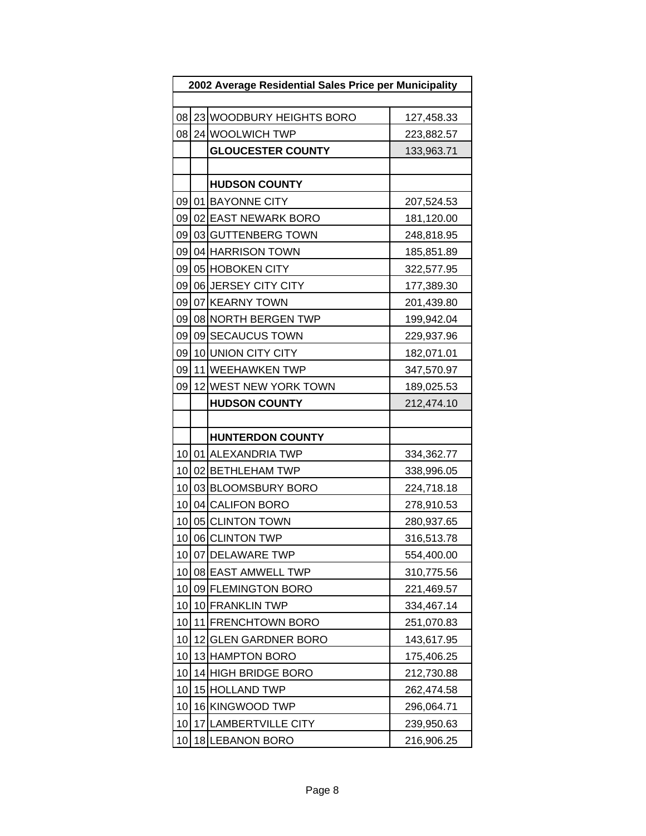| 2002 Average Residential Sales Price per Municipality |    |                          |            |
|-------------------------------------------------------|----|--------------------------|------------|
|                                                       |    |                          |            |
| 08                                                    |    | 23 WOODBURY HEIGHTS BORO | 127,458.33 |
| 08                                                    |    | 24 WOOLWICH TWP          | 223,882.57 |
|                                                       |    | <b>GLOUCESTER COUNTY</b> | 133,963.71 |
|                                                       |    |                          |            |
|                                                       |    | <b>HUDSON COUNTY</b>     |            |
|                                                       |    | 09 01 BAYONNE CITY       | 207,524.53 |
| 09                                                    |    | 02 EAST NEWARK BORO      | 181,120.00 |
| 09                                                    |    | 03 GUTTENBERG TOWN       | 248,818.95 |
| 09                                                    |    | 04 HARRISON TOWN         | 185,851.89 |
| 09                                                    |    | 05 HOBOKEN CITY          | 322,577.95 |
| 09                                                    |    | 06 JERSEY CITY CITY      | 177,389.30 |
| 09                                                    |    | 07 KEARNY TOWN           | 201,439.80 |
| 09                                                    |    | 08 NORTH BERGEN TWP      | 199,942.04 |
| 09                                                    |    | 09 SECAUCUS TOWN         | 229,937.96 |
| 09                                                    |    | 10 UNION CITY CITY       | 182,071.01 |
| 09                                                    |    | 11 WEEHAWKEN TWP         | 347,570.97 |
| 09                                                    |    | 12 WEST NEW YORK TOWN    | 189,025.53 |
|                                                       |    | <b>HUDSON COUNTY</b>     | 212,474.10 |
|                                                       |    |                          |            |
|                                                       |    | <b>HUNTERDON COUNTY</b>  |            |
|                                                       |    | 10 01 ALEXANDRIA TWP     | 334,362.77 |
| 10 <sup>1</sup>                                       |    | 02 BETHLEHAM TWP         | 338,996.05 |
| 10                                                    |    | 03 BLOOMSBURY BORO       | 224,718.18 |
| 10 <sub>1</sub>                                       |    | 04 CALIFON BORO          | 278,910.53 |
| 10                                                    |    | 05 CLINTON TOWN          | 280,937.65 |
| 10                                                    |    | 06 CLINTON TWP           | 316,513.78 |
|                                                       |    | 10 07 DELAWARE TWP       | 554,400.00 |
| 10                                                    |    | 08 EAST AMWELL TWP       | 310,775.56 |
| 10                                                    |    | 09 FLEMINGTON BORO       | 221,469.57 |
| 10                                                    |    | 10 FRANKLIN TWP          | 334,467.14 |
| 10                                                    |    | 11 FRENCHTOWN BORO       | 251,070.83 |
| 10                                                    |    | 12 GLEN GARDNER BORO     | 143,617.95 |
| 10                                                    |    | 13 HAMPTON BORO          | 175,406.25 |
| 10                                                    |    | 14 HIGH BRIDGE BORO      | 212,730.88 |
| 10                                                    |    | 15 HOLLAND TWP           | 262,474.58 |
| 10                                                    |    | 16 KINGWOOD TWP          | 296,064.71 |
| 10                                                    | 17 | <b>LAMBERTVILLE CITY</b> | 239,950.63 |
| 10                                                    |    | 18 LEBANON BORO          | 216,906.25 |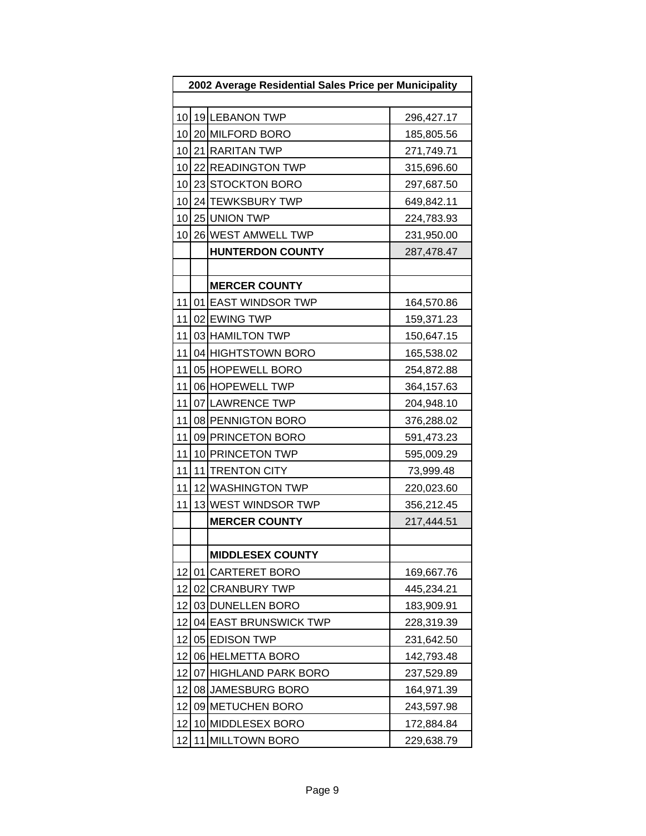| 2002 Average Residential Sales Price per Municipality |    |                         |            |  |
|-------------------------------------------------------|----|-------------------------|------------|--|
|                                                       |    |                         |            |  |
| 10                                                    |    | 19 LEBANON TWP          | 296,427.17 |  |
| 10                                                    |    | 20 MILFORD BORO         | 185,805.56 |  |
| 10                                                    |    | 21 RARITAN TWP          | 271,749.71 |  |
| 10                                                    |    | 22 READINGTON TWP       | 315,696.60 |  |
| 10                                                    |    | 23 STOCKTON BORO        | 297,687.50 |  |
| 10                                                    |    | 24 TEWKSBURY TWP        | 649,842.11 |  |
| 10                                                    |    | 25 UNION TWP            | 224,783.93 |  |
| 10                                                    |    | 26 WEST AMWELL TWP      | 231,950.00 |  |
|                                                       |    | <b>HUNTERDON COUNTY</b> | 287,478.47 |  |
|                                                       |    |                         |            |  |
|                                                       |    | <b>MERCER COUNTY</b>    |            |  |
| 11                                                    |    | 01 EAST WINDSOR TWP     | 164,570.86 |  |
| 11                                                    |    | 02 EWING TWP            | 159,371.23 |  |
| 11                                                    |    | 03 HAMILTON TWP         | 150,647.15 |  |
| 11                                                    |    | 04 HIGHTSTOWN BORO      | 165,538.02 |  |
| 11                                                    |    | 05 HOPEWELL BORO        | 254,872.88 |  |
| 11                                                    |    | 06 HOPEWELL TWP         | 364,157.63 |  |
| 11                                                    |    | 07 LAWRENCE TWP         | 204,948.10 |  |
| 11                                                    |    | 08 PENNIGTON BORO       | 376,288.02 |  |
| 11                                                    |    | 09 PRINCETON BORO       | 591,473.23 |  |
| 11                                                    |    | 10 PRINCETON TWP        | 595,009.29 |  |
| 11                                                    |    | 11 TRENTON CITY         | 73,999.48  |  |
| 11                                                    |    | 12 WASHINGTON TWP       | 220,023.60 |  |
| 11                                                    |    | 13 WEST WINDSOR TWP     | 356,212.45 |  |
|                                                       |    | <b>MERCER COUNTY</b>    | 217,444.51 |  |
|                                                       |    |                         |            |  |
|                                                       |    | <b>MIDDLESEX COUNTY</b> |            |  |
| 12                                                    |    | 01 CARTERET BORO        | 169,667.76 |  |
| 12                                                    |    | 02 CRANBURY TWP         | 445,234.21 |  |
| 12                                                    |    | 03 DUNELLEN BORO        | 183,909.91 |  |
| 12                                                    |    | 04 EAST BRUNSWICK TWP   | 228,319.39 |  |
| 12                                                    |    | 05 EDISON TWP           | 231,642.50 |  |
| 12                                                    |    | 06 HELMETTA BORO        | 142,793.48 |  |
| 12                                                    |    | 07 HIGHLAND PARK BORO   | 237,529.89 |  |
| 12                                                    |    | 08 JAMESBURG BORO       | 164,971.39 |  |
| 12                                                    |    | 09 METUCHEN BORO        | 243,597.98 |  |
| 12                                                    |    | 10 MIDDLESEX BORO       | 172,884.84 |  |
| 12                                                    | 11 | <b>MILLTOWN BORO</b>    | 229,638.79 |  |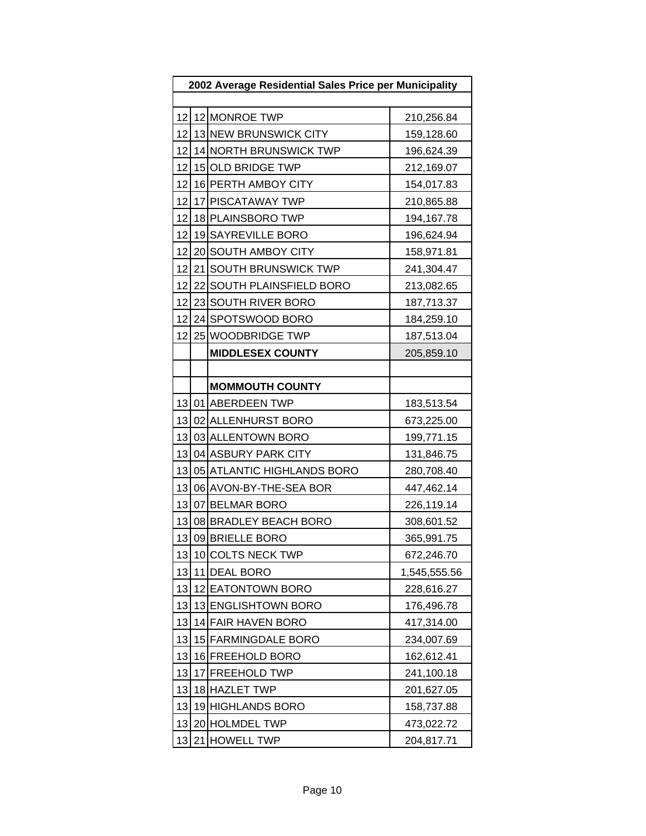| 2002 Average Residential Sales Price per Municipality |  |                            |              |  |  |
|-------------------------------------------------------|--|----------------------------|--------------|--|--|
|                                                       |  |                            |              |  |  |
| 12                                                    |  | 12 MONROE TWP              | 210,256.84   |  |  |
| 12                                                    |  | 13 NEW BRUNSWICK CITY      | 159,128.60   |  |  |
| 12                                                    |  | 14 NORTH BRUNSWICK TWP     | 196,624.39   |  |  |
| 12                                                    |  | 15 OLD BRIDGE TWP          | 212,169.07   |  |  |
| 12                                                    |  | 16 PERTH AMBOY CITY        | 154,017.83   |  |  |
| 12                                                    |  | 17 PISCATAWAY TWP          | 210,865.88   |  |  |
| 12                                                    |  | 18 PLAINSBORO TWP          | 194,167.78   |  |  |
| 12                                                    |  | 19 SAYREVILLE BORO         | 196,624.94   |  |  |
| 12                                                    |  | 20 SOUTH AMBOY CITY        | 158,971.81   |  |  |
| 12                                                    |  | 21 SOUTH BRUNSWICK TWP     | 241,304.47   |  |  |
| 12                                                    |  | 22 SOUTH PLAINSFIELD BORO  | 213,082.65   |  |  |
| 12                                                    |  | 23 SOUTH RIVER BORO        | 187,713.37   |  |  |
| 12                                                    |  | 24 SPOTSWOOD BORO          | 184,259.10   |  |  |
| 12                                                    |  | 25 WOODBRIDGE TWP          | 187,513.04   |  |  |
|                                                       |  | <b>MIDDLESEX COUNTY</b>    | 205,859.10   |  |  |
|                                                       |  |                            |              |  |  |
|                                                       |  | <b>MOMMOUTH COUNTY</b>     |              |  |  |
|                                                       |  | 13 01 ABERDEEN TWP         | 183,513.54   |  |  |
| 13                                                    |  | 02 ALLENHURST BORO         | 673,225.00   |  |  |
| 13                                                    |  | 03 ALLENTOWN BORO          | 199,771.15   |  |  |
| 13                                                    |  | 04 ASBURY PARK CITY        | 131,846.75   |  |  |
| 13                                                    |  | 05 ATLANTIC HIGHLANDS BORO | 280,708.40   |  |  |
| 13                                                    |  | 06 AVON-BY-THE-SEA BOR     | 447,462.14   |  |  |
| 13                                                    |  | 07 BELMAR BORO             | 226,119.14   |  |  |
| 13                                                    |  | 08 BRADLEY BEACH BORO      | 308,601.52   |  |  |
| 13                                                    |  | 09 BRIELLE BORO            | 365,991.75   |  |  |
| 13                                                    |  | 10 COLTS NECK TWP          | 672,246.70   |  |  |
| 13                                                    |  | 11 DEAL BORO               | 1,545,555.56 |  |  |
| 13                                                    |  | 12 EATONTOWN BORO          | 228,616.27   |  |  |
| 13                                                    |  | 13 ENGLISHTOWN BORO        | 176,496.78   |  |  |
| 13                                                    |  | 14 FAIR HAVEN BORO         | 417,314.00   |  |  |
| 13                                                    |  | 15 FARMINGDALE BORO        | 234,007.69   |  |  |
| 13                                                    |  | 16 FREEHOLD BORO           | 162,612.41   |  |  |
| 13                                                    |  | 17 FREEHOLD TWP            | 241,100.18   |  |  |
| 13                                                    |  | 18 HAZLET TWP              | 201,627.05   |  |  |
| 13                                                    |  | 19 HIGHLANDS BORO          | 158,737.88   |  |  |
| 13                                                    |  | 20 HOLMDEL TWP             | 473,022.72   |  |  |
| 13                                                    |  | 21 HOWELL TWP              | 204,817.71   |  |  |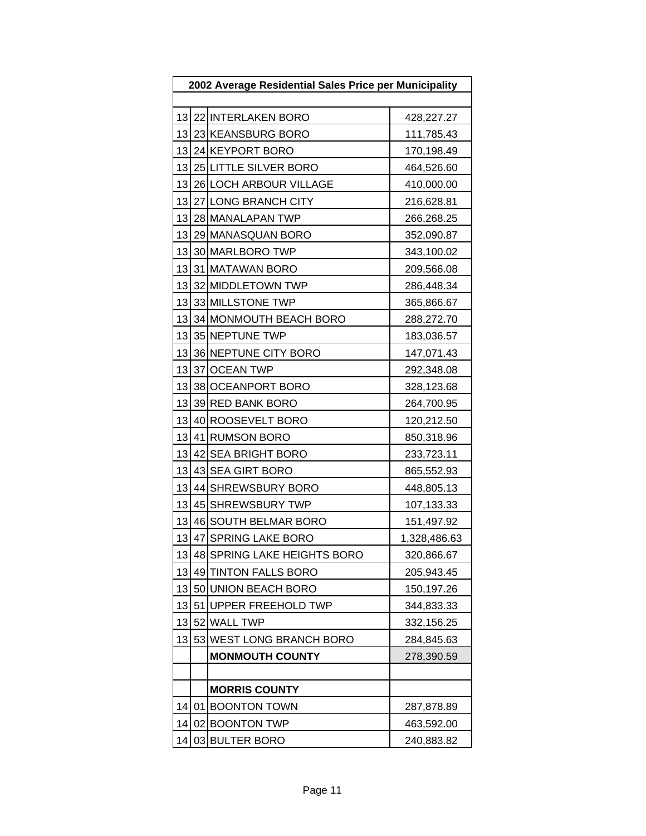| 2002 Average Residential Sales Price per Municipality |  |                             |              |
|-------------------------------------------------------|--|-----------------------------|--------------|
|                                                       |  |                             |              |
|                                                       |  | 13 22 INTERLAKEN BORO       | 428,227.27   |
| 13                                                    |  | 23 KEANSBURG BORO           | 111,785.43   |
| 13                                                    |  | 24 KEYPORT BORO             | 170,198.49   |
| 13                                                    |  | 25 LITTLE SILVER BORO       | 464,526.60   |
| 13                                                    |  | 26 LOCH ARBOUR VILLAGE      | 410,000.00   |
| 13                                                    |  | 27 LONG BRANCH CITY         | 216,628.81   |
| 13                                                    |  | 28 MANALAPAN TWP            | 266,268.25   |
| 13                                                    |  | 29 MANASQUAN BORO           | 352,090.87   |
| 13                                                    |  | 30 MARLBORO TWP             | 343,100.02   |
|                                                       |  | 13 31 MATAWAN BORO          | 209,566.08   |
| 13                                                    |  | 32 MIDDLETOWN TWP           | 286,448.34   |
| 13                                                    |  | 33 MILLSTONE TWP            | 365,866.67   |
| 13                                                    |  | 34 MONMOUTH BEACH BORO      | 288,272.70   |
| 13                                                    |  | 35 NEPTUNE TWP              | 183,036.57   |
| 13                                                    |  | 36 NEPTUNE CITY BORO        | 147,071.43   |
| 13                                                    |  | 37 OCEAN TWP                | 292,348.08   |
| 13                                                    |  | 38 OCEANPORT BORO           | 328,123.68   |
| 13                                                    |  | 39 RED BANK BORO            | 264,700.95   |
| 13                                                    |  | 40 ROOSEVELT BORO           | 120,212.50   |
| 13                                                    |  | 41 RUMSON BORO              | 850,318.96   |
| 13                                                    |  | 42 SEA BRIGHT BORO          | 233,723.11   |
| 13                                                    |  | 43 SEA GIRT BORO            | 865,552.93   |
| 13                                                    |  | 44 SHREWSBURY BORO          | 448,805.13   |
| 13                                                    |  | 45 SHREWSBURY TWP           | 107,133.33   |
| 13                                                    |  | 46 SOUTH BELMAR BORO        | 151,497.92   |
| 13                                                    |  | 47 SPRING LAKE BORO         | 1,328,486.63 |
| 13                                                    |  | 48 SPRING LAKE HEIGHTS BORO | 320,866.67   |
| 13                                                    |  | 49 TINTON FALLS BORO        | 205,943.45   |
| 13                                                    |  | 50 UNION BEACH BORO         | 150,197.26   |
| 13                                                    |  | 51 UPPER FREEHOLD TWP       | 344,833.33   |
| 13                                                    |  | 52 WALL TWP                 | 332,156.25   |
| 13                                                    |  | 53 WEST LONG BRANCH BORO    | 284,845.63   |
|                                                       |  | <b>MONMOUTH COUNTY</b>      | 278,390.59   |
|                                                       |  |                             |              |
|                                                       |  | <b>MORRIS COUNTY</b>        |              |
| 14                                                    |  | 01 BOONTON TOWN             | 287,878.89   |
| 14                                                    |  | 02 BOONTON TWP              | 463,592.00   |
| 14                                                    |  | 03 BULTER BORO              | 240,883.82   |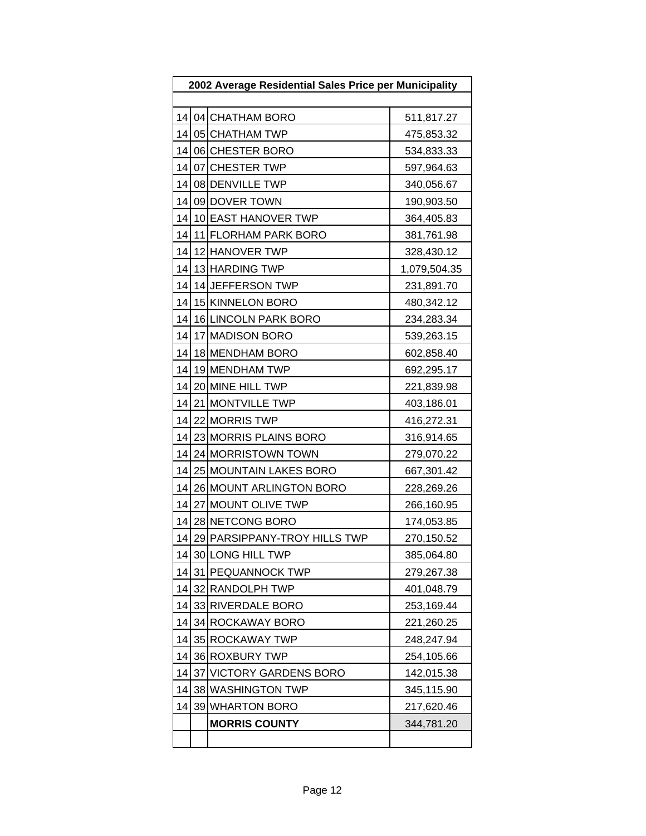| 2002 Average Residential Sales Price per Municipality |  |                              |              |  |  |
|-------------------------------------------------------|--|------------------------------|--------------|--|--|
|                                                       |  |                              |              |  |  |
| 14                                                    |  | 04 CHATHAM BORO              | 511,817.27   |  |  |
| 14                                                    |  | 05 CHATHAM TWP               | 475,853.32   |  |  |
| 14                                                    |  | 06 CHESTER BORO              | 534,833.33   |  |  |
| 14                                                    |  | 07 CHESTER TWP               | 597,964.63   |  |  |
| 14                                                    |  | 08 DENVILLE TWP              | 340,056.67   |  |  |
| 14                                                    |  | 09 DOVER TOWN                | 190,903.50   |  |  |
| 14                                                    |  | 10 EAST HANOVER TWP          | 364,405.83   |  |  |
| 14                                                    |  | 11 FLORHAM PARK BORO         | 381,761.98   |  |  |
| 14                                                    |  | 12 HANOVER TWP               | 328,430.12   |  |  |
| 14                                                    |  | 13 HARDING TWP               | 1,079,504.35 |  |  |
| 14                                                    |  | 14 JEFFERSON TWP             | 231,891.70   |  |  |
| 14                                                    |  | 15 KINNELON BORO             | 480,342.12   |  |  |
| 14                                                    |  | 16 LINCOLN PARK BORO         | 234,283.34   |  |  |
| 14                                                    |  | 17 MADISON BORO              | 539,263.15   |  |  |
| 14                                                    |  | 18 MENDHAM BORO              | 602,858.40   |  |  |
| 14                                                    |  | 19 MENDHAM TWP               | 692,295.17   |  |  |
| 14                                                    |  | 20 MINE HILL TWP             | 221,839.98   |  |  |
| 14                                                    |  | 21 MONTVILLE TWP             | 403,186.01   |  |  |
| 14                                                    |  | 22 MORRIS TWP                | 416,272.31   |  |  |
| 14                                                    |  | 23 MORRIS PLAINS BORO        | 316,914.65   |  |  |
| 14                                                    |  | 24 MORRISTOWN TOWN           | 279,070.22   |  |  |
| 14                                                    |  | 25 MOUNTAIN LAKES BORO       | 667,301.42   |  |  |
| 14                                                    |  | 26 MOUNT ARLINGTON BORO      | 228,269.26   |  |  |
| 14                                                    |  | 27 MOUNT OLIVE TWP           | 266,160.95   |  |  |
| 14                                                    |  | 28 NETCONG BORO              | 174,053.85   |  |  |
| 14                                                    |  | 29 PARSIPPANY-TROY HILLS TWP | 270,150.52   |  |  |
| 141                                                   |  | 30 LONG HILL TWP             | 385,064.80   |  |  |
| 14                                                    |  | 31 PEQUANNOCK TWP            | 279,267.38   |  |  |
| 14                                                    |  | 32 RANDOLPH TWP              | 401,048.79   |  |  |
| 14                                                    |  | 33 RIVERDALE BORO            | 253,169.44   |  |  |
| 14                                                    |  | 34 ROCKAWAY BORO             | 221,260.25   |  |  |
| 14                                                    |  | 35 ROCKAWAY TWP              | 248,247.94   |  |  |
| 14                                                    |  | 36 ROXBURY TWP               | 254,105.66   |  |  |
| 14                                                    |  | 37 VICTORY GARDENS BORO      | 142,015.38   |  |  |
| 14                                                    |  | 38 WASHINGTON TWP            | 345,115.90   |  |  |
| 14                                                    |  | 39 WHARTON BORO              | 217,620.46   |  |  |
|                                                       |  | <b>MORRIS COUNTY</b>         | 344,781.20   |  |  |
|                                                       |  |                              |              |  |  |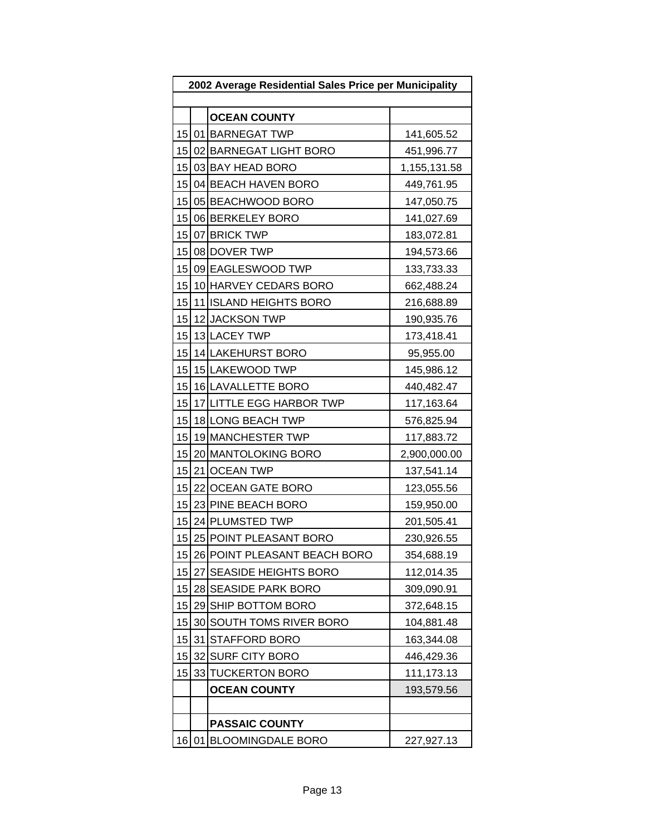| 2002 Average Residential Sales Price per Municipality |    |                              |              |
|-------------------------------------------------------|----|------------------------------|--------------|
|                                                       |    |                              |              |
|                                                       |    | <b>OCEAN COUNTY</b>          |              |
| 15                                                    |    | 01 BARNEGAT TWP              | 141,605.52   |
| 15                                                    |    | 02 BARNEGAT LIGHT BORO       | 451,996.77   |
| 15                                                    |    | 03 BAY HEAD BORO             | 1,155,131.58 |
| 15 <sup>1</sup>                                       |    | 04 BEACH HAVEN BORO          | 449,761.95   |
| 15                                                    |    | 05 BEACHWOOD BORO            | 147,050.75   |
| 15                                                    |    | 06 BERKELEY BORO             | 141,027.69   |
| 15                                                    |    | 07 BRICK TWP                 | 183,072.81   |
|                                                       |    | 15 08 DOVER TWP              | 194,573.66   |
| 15                                                    |    | 09 EAGLESWOOD TWP            | 133,733.33   |
| 15                                                    |    | 10 HARVEY CEDARS BORO        | 662,488.24   |
| 15                                                    |    | 11 ISLAND HEIGHTS BORO       | 216,688.89   |
| 15                                                    |    | 12 JACKSON TWP               | 190,935.76   |
| 15                                                    |    | 13 LACEY TWP                 | 173,418.41   |
| 15                                                    |    | 14 LAKEHURST BORO            | 95,955.00    |
| 15                                                    |    | 15 LAKEWOOD TWP              | 145,986.12   |
| 15                                                    |    | 16 LAVALLETTE BORO           | 440,482.47   |
| 15                                                    |    | 17 LITTLE EGG HARBOR TWP     | 117,163.64   |
| 15                                                    |    | 18 LONG BEACH TWP            | 576,825.94   |
| 15                                                    |    | 19 MANCHESTER TWP            | 117,883.72   |
| 15                                                    |    | 20 MANTOLOKING BORO          | 2,900,000.00 |
| 15                                                    |    | 21 OCEAN TWP                 | 137,541.14   |
| 15                                                    |    | 22 OCEAN GATE BORO           | 123,055.56   |
| 15                                                    |    | 23 PINE BEACH BORO           | 159,950.00   |
| 15                                                    |    | 24 PLUMSTED TWP              | 201,505.41   |
| 15                                                    |    | 25 POINT PLEASANT BORO       | 230,926.55   |
| 15                                                    |    | 26 POINT PLEASANT BEACH BORO | 354,688.19   |
| 15                                                    |    | 27 SEASIDE HEIGHTS BORO      | 112,014.35   |
| 15                                                    |    | 28 SEASIDE PARK BORO         | 309,090.91   |
| 15                                                    |    | 29 SHIP BOTTOM BORO          | 372,648.15   |
| 15                                                    | 30 | SOUTH TOMS RIVER BORO        | 104,881.48   |
| 15                                                    | 31 | <b>STAFFORD BORO</b>         | 163,344.08   |
| 15                                                    | 32 | <b>SURF CITY BORO</b>        | 446,429.36   |
| 15                                                    |    | 33 TUCKERTON BORO            | 111,173.13   |
|                                                       |    | <b>OCEAN COUNTY</b>          | 193,579.56   |
|                                                       |    |                              |              |
|                                                       |    | <b>PASSAIC COUNTY</b>        |              |
| 16                                                    | 01 | <b>BLOOMINGDALE BORO</b>     | 227,927.13   |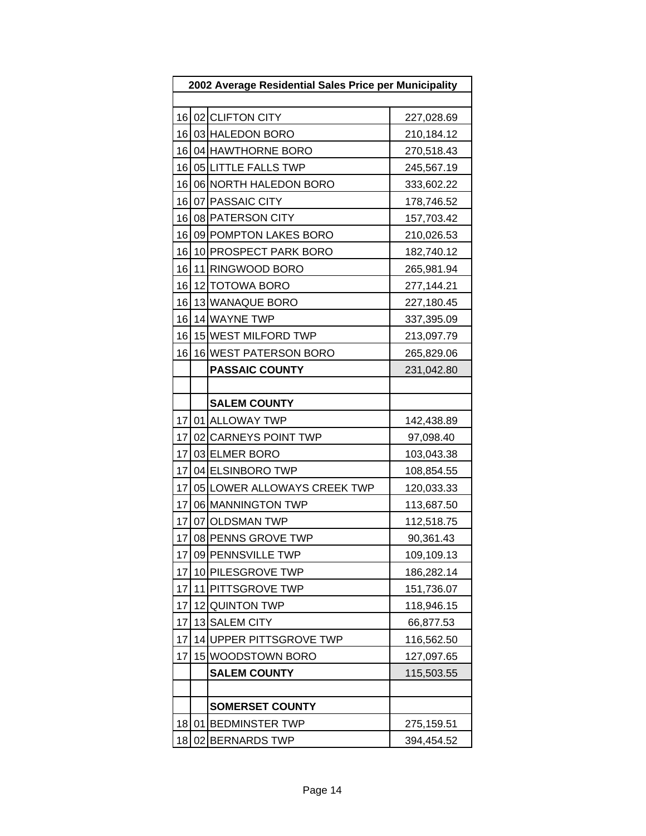| 2002 Average Residential Sales Price per Municipality |    |                             |            |
|-------------------------------------------------------|----|-----------------------------|------------|
|                                                       |    |                             |            |
|                                                       |    | 16 02 CLIFTON CITY          | 227,028.69 |
| 16                                                    |    | 03 HALEDON BORO             | 210,184.12 |
| 16                                                    |    | 04 HAWTHORNE BORO           | 270,518.43 |
|                                                       |    | 16 05 LITTLE FALLS TWP      | 245,567.19 |
| 16                                                    |    | 06 NORTH HALEDON BORO       | 333,602.22 |
| 16                                                    |    | 07 PASSAIC CITY             | 178,746.52 |
|                                                       |    | 16 08 PATERSON CITY         | 157,703.42 |
| 16                                                    |    | 09 POMPTON LAKES BORO       | 210,026.53 |
| 16                                                    |    | 10 PROSPECT PARK BORO       | 182,740.12 |
| 16                                                    |    | 11 RINGWOOD BORO            | 265,981.94 |
| 16                                                    |    | 12 TOTOWA BORO              | 277,144.21 |
| 16                                                    |    | 13 WANAQUE BORO             | 227,180.45 |
| 16                                                    |    | 14 WAYNE TWP                | 337,395.09 |
| 16                                                    |    | 15 WEST MILFORD TWP         | 213,097.79 |
| 16                                                    |    | 16 WEST PATERSON BORO       | 265,829.06 |
|                                                       |    | <b>PASSAIC COUNTY</b>       | 231,042.80 |
|                                                       |    |                             |            |
|                                                       |    | <b>SALEM COUNTY</b>         |            |
| 17                                                    |    | 01 ALLOWAY TWP              | 142,438.89 |
| 17                                                    |    | 02 CARNEYS POINT TWP        | 97,098.40  |
| 17                                                    |    | 03 ELMER BORO               | 103,043.38 |
| 17                                                    |    | 04 ELSINBORO TWP            | 108,854.55 |
| 17                                                    |    | 05 LOWER ALLOWAYS CREEK TWP | 120,033.33 |
| 17                                                    |    | 06 MANNINGTON TWP           | 113,687.50 |
| 17                                                    |    | 07 OLDSMAN TWP              | 112,518.75 |
| 17                                                    |    | 08 PENNS GROVE TWP          | 90,361.43  |
| 17                                                    |    | 09 PENNSVILLE TWP           | 109,109.13 |
| 17                                                    |    | 10 PILESGROVE TWP           | 186,282.14 |
| 17                                                    |    | 11 PITTSGROVE TWP           | 151,736.07 |
| 17                                                    |    | 12 QUINTON TWP              | 118,946.15 |
| 17                                                    |    | 13 SALEM CITY               | 66,877.53  |
| 17                                                    |    | 14 UPPER PITTSGROVE TWP     | 116,562.50 |
| 17                                                    |    | 15 WOODSTOWN BORO           | 127,097.65 |
|                                                       |    | <b>SALEM COUNTY</b>         | 115,503.55 |
|                                                       |    |                             |            |
|                                                       |    | <b>SOMERSET COUNTY</b>      |            |
| 18                                                    | 01 | <b>BEDMINSTER TWP</b>       | 275,159.51 |
| 18                                                    |    | 02 BERNARDS TWP             | 394,454.52 |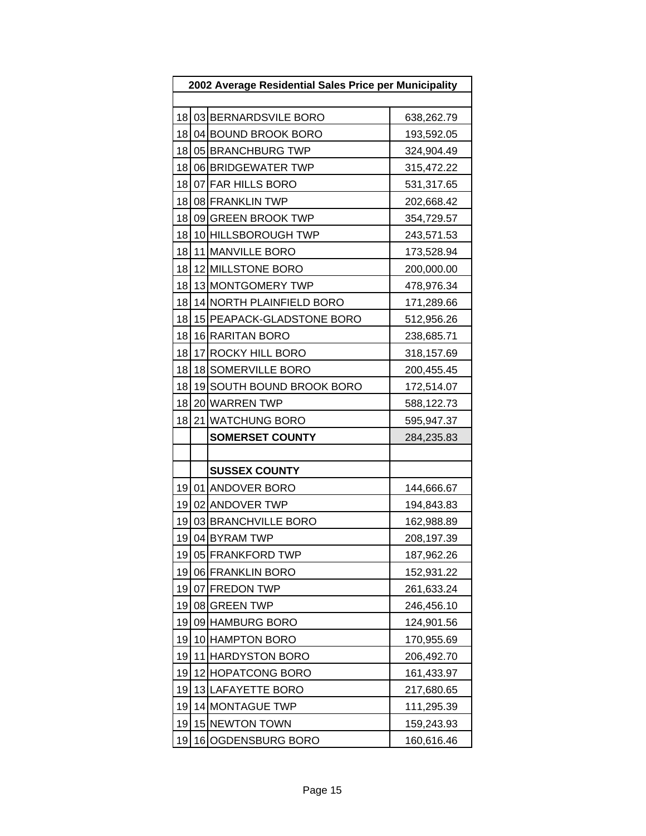| 2002 Average Residential Sales Price per Municipality |    |                           |            |
|-------------------------------------------------------|----|---------------------------|------------|
|                                                       |    |                           |            |
| 18                                                    |    | 03 BERNARDSVILE BORO      | 638,262.79 |
| 18                                                    |    | 04 BOUND BROOK BORO       | 193,592.05 |
| 18                                                    |    | 05 BRANCHBURG TWP         | 324,904.49 |
| 18                                                    |    | 06 BRIDGEWATER TWP        | 315,472.22 |
| 18                                                    |    | 07 FAR HILLS BORO         | 531,317.65 |
| 18                                                    |    | 08 FRANKLIN TWP           | 202,668.42 |
| 18                                                    |    | 09 GREEN BROOK TWP        | 354,729.57 |
| 18                                                    |    | 10 HILLSBOROUGH TWP       | 243,571.53 |
| 18                                                    |    | 11 MANVILLE BORO          | 173,528.94 |
| 18                                                    |    | 12 MILLSTONE BORO         | 200,000.00 |
| 18                                                    |    | 13 MONTGOMERY TWP         | 478,976.34 |
| 18                                                    |    | 14 NORTH PLAINFIELD BORO  | 171,289.66 |
| 18                                                    |    | 15 PEAPACK-GLADSTONE BORO | 512,956.26 |
| 18                                                    |    | 16 RARITAN BORO           | 238,685.71 |
| 18                                                    |    | 17 ROCKY HILL BORO        | 318,157.69 |
| 18                                                    |    | 18 SOMERVILLE BORO        | 200,455.45 |
| 18                                                    |    | 19 SOUTH BOUND BROOK BORO | 172,514.07 |
| 18                                                    |    | 20 WARREN TWP             | 588,122.73 |
| 18                                                    |    | 21 WATCHUNG BORO          | 595,947.37 |
|                                                       |    | <b>SOMERSET COUNTY</b>    | 284,235.83 |
|                                                       |    |                           |            |
|                                                       |    | <b>SUSSEX COUNTY</b>      |            |
| 19                                                    |    | 01 ANDOVER BORO           | 144,666.67 |
| 19                                                    |    | 02 ANDOVER TWP            | 194,843.83 |
| 19                                                    |    | 03 BRANCHVILLE BORO       | 162,988.89 |
| 19                                                    |    | 04 BYRAM TWP              | 208,197.39 |
| 19                                                    |    | 05 FRANKFORD TWP          | 187,962.26 |
| 19                                                    |    | 06 FRANKLIN BORO          | 152,931.22 |
| 19                                                    |    | 07 FREDON TWP             | 261,633.24 |
| 19                                                    |    | 08 GREEN TWP              | 246,456.10 |
| 19                                                    |    | 09 HAMBURG BORO           | 124,901.56 |
| 19                                                    |    | 10 HAMPTON BORO           | 170,955.69 |
| 19                                                    |    | 11 HARDYSTON BORO         | 206,492.70 |
| 19                                                    |    | 12 HOPATCONG BORO         | 161,433.97 |
| 19                                                    |    | 13 LAFAYETTE BORO         | 217,680.65 |
| 19                                                    |    | 14 MONTAGUE TWP           | 111,295.39 |
| 19                                                    |    | 15 NEWTON TOWN            | 159,243.93 |
| 19                                                    | 16 | OGDENSBURG BORO           | 160,616.46 |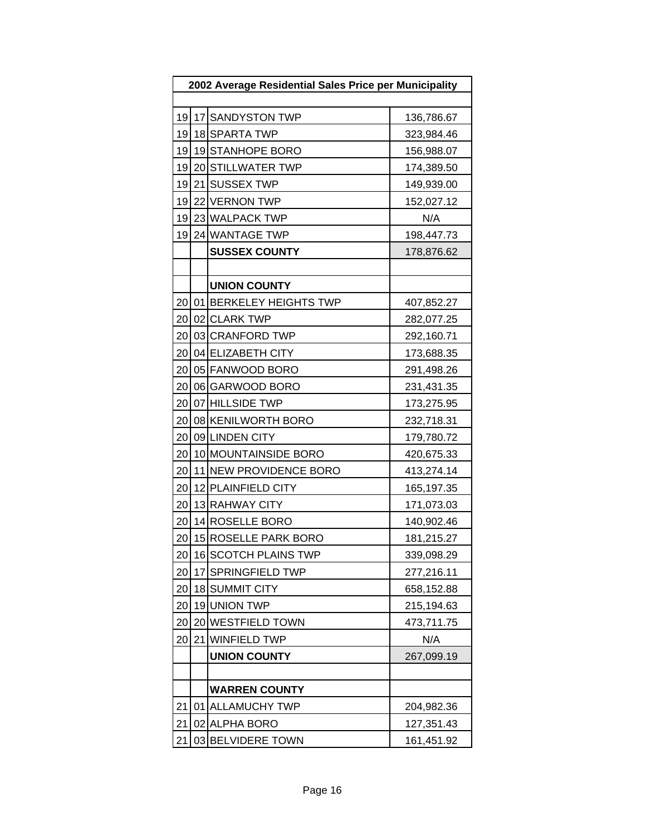| 2002 Average Residential Sales Price per Municipality |  |                         |            |
|-------------------------------------------------------|--|-------------------------|------------|
|                                                       |  |                         |            |
| 19                                                    |  | 17 SANDYSTON TWP        | 136,786.67 |
| 19                                                    |  | 18 SPARTA TWP           | 323,984.46 |
| 19                                                    |  | 19 STANHOPE BORO        | 156,988.07 |
| 19                                                    |  | 20 STILLWATER TWP       | 174,389.50 |
| 19                                                    |  | 21 SUSSEX TWP           | 149,939.00 |
| 19                                                    |  | 22 VERNON TWP           | 152,027.12 |
| 19                                                    |  | 23 WALPACK TWP          | N/A        |
| 19                                                    |  | 24 WANTAGE TWP          | 198,447.73 |
|                                                       |  | <b>SUSSEX COUNTY</b>    | 178,876.62 |
|                                                       |  |                         |            |
|                                                       |  | <b>UNION COUNTY</b>     |            |
| 20                                                    |  | 01 BERKELEY HEIGHTS TWP | 407,852.27 |
| 20                                                    |  | 02 CLARK TWP            | 282,077.25 |
| 20                                                    |  | 03 CRANFORD TWP         | 292,160.71 |
| 20                                                    |  | 04 ELIZABETH CITY       | 173,688.35 |
| 20                                                    |  | 05 FANWOOD BORO         | 291,498.26 |
| 20                                                    |  | 06 GARWOOD BORO         | 231,431.35 |
|                                                       |  | 20 07 HILLSIDE TWP      | 173,275.95 |
| 20                                                    |  | 08 KENILWORTH BORO      | 232,718.31 |
| 20                                                    |  | 09 LINDEN CITY          | 179,780.72 |
| 20                                                    |  | 10 MOUNTAINSIDE BORO    | 420,675.33 |
| 20                                                    |  | 11 NEW PROVIDENCE BORO  | 413,274.14 |
| 20                                                    |  | 12 PLAINFIELD CITY      | 165,197.35 |
| 20                                                    |  | 13 RAHWAY CITY          | 171,073.03 |
| 20                                                    |  | 14 ROSELLE BORO         | 140,902.46 |
| 20                                                    |  | 15 ROSELLE PARK BORO    | 181,215.27 |
| 20                                                    |  | 16 SCOTCH PLAINS TWP    | 339,098.29 |
| 20                                                    |  | 17 SPRINGFIELD TWP      | 277,216.11 |
| 20                                                    |  | 18 SUMMIT CITY          | 658,152.88 |
| 20                                                    |  | 19 UNION TWP            | 215,194.63 |
| 20                                                    |  | 20 WESTFIELD TOWN       | 473,711.75 |
| 20                                                    |  | 21 WINFIELD TWP         | N/A        |
|                                                       |  | <b>UNION COUNTY</b>     | 267,099.19 |
|                                                       |  |                         |            |
|                                                       |  | <b>WARREN COUNTY</b>    |            |
| 21                                                    |  | 01 ALLAMUCHY TWP        | 204,982.36 |
| 21                                                    |  | 02 ALPHA BORO           | 127,351.43 |
| 21                                                    |  | 03 BELVIDERE TOWN       | 161,451.92 |